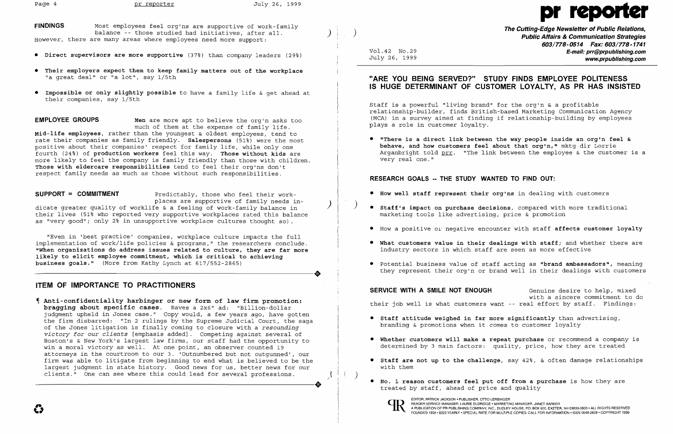**FINDINGS**  However, there are many areas where employees need more support: Most employees feel org'ns are supportive of work-family balance -- those studied had initiatives, after all.

# pr

)

- **Direct supervisors are more supportive** (37~) than company leaders (29~)
- **Their employers expect them to keep family matters out of the workplace**  "a great deal" or "a lot", say 1/5th
- **Impossible or only slightly possible**  to have a family life & get ahead at their companies, say 1/5th

**EMPLOYEE GROUPS Men** are more apt to believe the org'n asks too much of them at the expense of family life. **Mid-life employees,** rather than the youngest & oldest employees, tend to rate their companies as family friendly. **Salespersons** (51~) were the most positive about their companies' respect for family life, while only one fourth (24~) of **production workers** feel this way. **Those without kids** are more likely to feel the company is family friendly than those with children. **Those with eldercare responsibilities** tend to feel their org'ns don't respect family needs as much as those without such responsibilities.

dicate greater quality of worklife & a feeling of work-family balance in their lives (51% who reported very supportive workplaces rated this balance as "very good"; only 2% in unsupportive workplace cultures thought so).

**SUPPORT = COMMITMENT** Predictably, those who feel their workplaces are supportive of family needs in-

**Anti-confidentiality harbinger or new form of law firm promotion: bragging about specific cases.** Raves a 2x6" ad: "Billion-dollar judgment upheld in Jones case." Copy would, a few years ago, have gotten the firm disbarred: "In 2 rulings by the Supreme Judicial Court, the saga of the Jones litigation is finally coming to closure with a *resounding victory for our clients* [emphasis added]. Competing against several of Boston's & New York's largest law firms, our staff had the opportunity to win a moral victory as well. At one point, an observer counted 19 attorneys in the courtroom to our 3. 'Outnumbered but not outgunned', our firm was able to litigate from beginning to end what is believed to be the largest judgment in state history. Good news for us, better news for our clients." One can see where this could lead for several professions. clients." One can see where this could lead for several professions.

)

 $\mathbf{L}$ 

 $($ 

"Even in 'best practice' companies, workplace culture impacts the full implementation of work/life policies & programs," the researchers conclude. **"When organizations do address issues related to culture, they are far more**  dikely to elicit employee commitment, which is critical to achieving<br>
business goals." (More from Kathy Lynch at 617/552-2865) **business goals."** (More from Kathy Lynch at 617/552-2865)

## **ITEM OF IMPORTANCE TO PRACTITIONERS**

EDITOR, PATRICK JACKSON • PUBLISHER, OTTO LERBINGER<br>READER SERVICE MANAGER, LAURIE ELDRIDGE • MARKETING MANAGER, JANET BARKER A PUBLICATION OF PR PUBLISHING COMPANY, INC., DUDLEY HOUSE, P.O. BOX 600, EXETER, NH 03833-0600 • ALL RIGHTS RESERVED FOUNDED 1958' \$225 YEARLY· SPECIAL RATE FOR MULTIPLE COPIES: CALL FOR INFORMATION ·ISSN 0048·2609' COPYRIGHT 1999

)

Vol. 42 No. 29 July 26, 1999 **The Cutting-Edge Newsletter of Public Relations, Public Affairs & Communication Strategies 603/778·0514 Fax: 603/778-1741 E-mail: prr@prpublishing.com**  ~.prpublishing.com

## **"ARE YOU BEING SERVED?" STUDY FINDS EMPLOYEE POLITENESS IS HUGE DETERMINANT OF CUSTOMER LOYALTV, AS PR HAS INSISTED**

Staff is a powerful "living brand" for the org'n & a profitable relationship-builder, finds British-based Marketing Communication Agency (MCA) in a survey aimed at finding if relationship-building by employees plays a role in customer loyalty.

**• "There is a direct link between the way people inside an org'n feel &**  Arganbright told prr. "The link between the employee & the customer is a

**behave, and how customers feel about that org'n,"** mktg dir Lorrie very real one."

## **RESEARCH· GOALS -- THE STUDY WANTED TO FIND OUT:**

- **• How well staff represent their org'ns** in dealing with customers
- ) **• Staff's impact on purchase decisions,** compared with more traditional marketing tools like advertising, price & promotion
- 
- industry sectors in which staff are seen as more effective
- 

**SERVICE WITH A SMILE NOT ENOUGH** Genuine desire to help, mixed with a sincere commitment to do their job well is what customers want -- real effort by staff. Findings:

• How a positive Ol' negative encounter with staff **affects customer loyalty** 

**• What customers value in their dealings with staff;** and whether there are

• Potential business value of staff acting as **"brand ambassadors",** meaning they represent their org'n or brand well in their dealings with customers

**• Whether customers will make a repeat purchase** or recommend a company is determined by 3 main factors: quality, price, how they are treated

- **• Staff attitude weighed in far more significantly** than advertising, branding & promotions when it comes to customer loyalty
- 
- with them
- treated by staff, ahead of price and quality



**• Staff are not up to the challenge,** say 42~, & often damage relationships

**• No. 1 reason customers feel put off from a purchase** is how they are